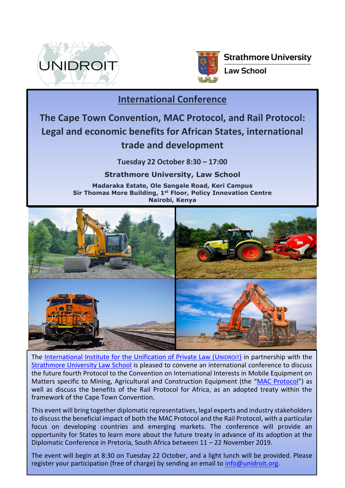



**Strathmore University** 

**Law School** 

## **International Conference**

## **The Cape Town Convention, MAC Protocol, and Rail Protocol: Legal and economic benefits for African States, international trade and development**

**Tuesday 22 October 8:30 – 17:00**

**Strathmore University, Law School**

**Madaraka Estate, Ole Sangale Road, Keri Campus Sir Thomas More Building, 1st Floor, Policy Innovation Centre Nairobi, Kenya**



The [International Institute for the Unification of Private Law \(U](https://www.unidroit.org/)NIDROIT) in partnership with the [Strathmore University Law School](http://www.law.strathmore.edu/) is pleased to convene an international conference to discuss the future fourth Protocol to the Convention on International Interests in Mobile Equipment on Matters specific to Mining, Agricultural and Construction Equipment (the "[MAC Protocol](https://www.unidroit.org/work-in-progress/mac-protocol)") as well as discuss the benefits of the Rail Protocol for Africa, as an adopted treaty within the framework of the Cape Town Convention.

This event will bring together diplomatic representatives, legal experts and industry stakeholders to discuss the beneficial impact of both the MAC Protocol and the Rail Protocol, with a particular focus on developing countries and emerging markets. The conference will provide an opportunity for States to learn more about the future treaty in advance of its adoption at the Diplomatic Conference in Pretoria, South Africa between 11 – 22 November 2019.

The event will begin at 8:30 on Tuesday 22 October, and a light lunch will be provided. Please register your participation (free of charge) by sending an email to [info@unidroit.org.](mailto:info@unidroit.org)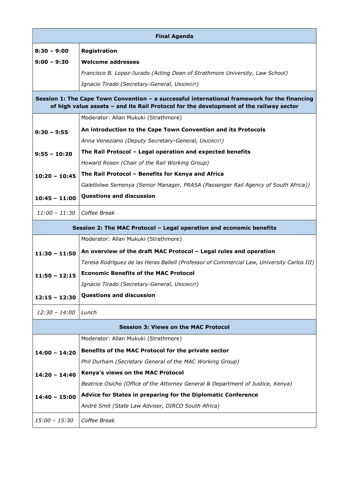| <b>Final Agenda</b>                                                                                                                                                                    |                                                                                            |
|----------------------------------------------------------------------------------------------------------------------------------------------------------------------------------------|--------------------------------------------------------------------------------------------|
| 8:30 – 9:00                                                                                                                                                                            | Registration                                                                               |
| $9:00 - 9:30$                                                                                                                                                                          | <b>Welcome addresses</b>                                                                   |
|                                                                                                                                                                                        | Francisco B. Lopez-Jurado (Acting Dean of Strathmore University, Law School)               |
|                                                                                                                                                                                        | Ignacio Tirado (Secretary-General, UNIDROIT)                                               |
| Session 1: The Cape Town Convention - a successful international framework for the financing<br>of high value assets - and its Rail Protocol for the development of the railway sector |                                                                                            |
|                                                                                                                                                                                        | Moderator: Allan Mukuki (Strathmore)                                                       |
| $9:30 - 9:55$                                                                                                                                                                          | An introduction to the Cape Town Convention and its Protocols                              |
|                                                                                                                                                                                        | Anna Veneziano (Deputy Secretary-General, UNIDROIT)                                        |
| $9:55 - 10:20$                                                                                                                                                                         | The Rail Protocol - Legal operation and expected benefits                                  |
|                                                                                                                                                                                        | Howard Rosen (Chair of the Rail Working Group)                                             |
| $10:20 - 10:45$                                                                                                                                                                        | The Rail Protocol - Benefits for Kenya and Africa                                          |
|                                                                                                                                                                                        | Galetlolwe Semenya (Senior Manager, PRASA (Passenger Rail Agency of South Africa))         |
| $10:45 - 11:00$                                                                                                                                                                        | <b>Questions and discussion</b>                                                            |
| $11:00 - 11:30$                                                                                                                                                                        | Coffee Break                                                                               |
| Session 2: The MAC Protocol - Legal operation and economic benefits                                                                                                                    |                                                                                            |
|                                                                                                                                                                                        | Moderator: Allan Mukuki (Strathmore)                                                       |
| $11:30 - 11:50$                                                                                                                                                                        | An overview of the draft MAC Protocol - Legal rules and operation                          |
|                                                                                                                                                                                        | Teresa Rodríguez de las Heras Ballell (Professor of Commercial Law, University Carlos III) |
| $11:50 - 12:15$                                                                                                                                                                        | <b>Economic Benefits of the MAC Protocol</b>                                               |
|                                                                                                                                                                                        | Ignacio Tirado (Secretary-General, UNIDROIT)                                               |
| $12:15 - 12:30$                                                                                                                                                                        | <b>Questions and discussion</b>                                                            |
| $12:30 - 14:00$                                                                                                                                                                        | Lunch                                                                                      |
| <b>Session 3: Views on the MAC Protocol</b>                                                                                                                                            |                                                                                            |
|                                                                                                                                                                                        | Moderator: Allan Mukuki (Strathmore)                                                       |
| $14:00 - 14:20$                                                                                                                                                                        | Benefits of the MAC Protocol for the private sector                                        |
|                                                                                                                                                                                        | Phil Durham (Secretary General of the MAC Working Group)                                   |
| $14:20 - 14:40$                                                                                                                                                                        | Kenya's views on the MAC Protocol                                                          |
|                                                                                                                                                                                        | Beatrice Osicho (Office of the Attorney General & Department of Justice, Kenya)            |
| $14:40 - 15:00$                                                                                                                                                                        | Advice for States in preparing for the Diplomatic Conference                               |
|                                                                                                                                                                                        | André Smit (State Law Adviser, DIRCO South Africa)                                         |
| 15:00 - 15:30                                                                                                                                                                          | Coffee Break                                                                               |